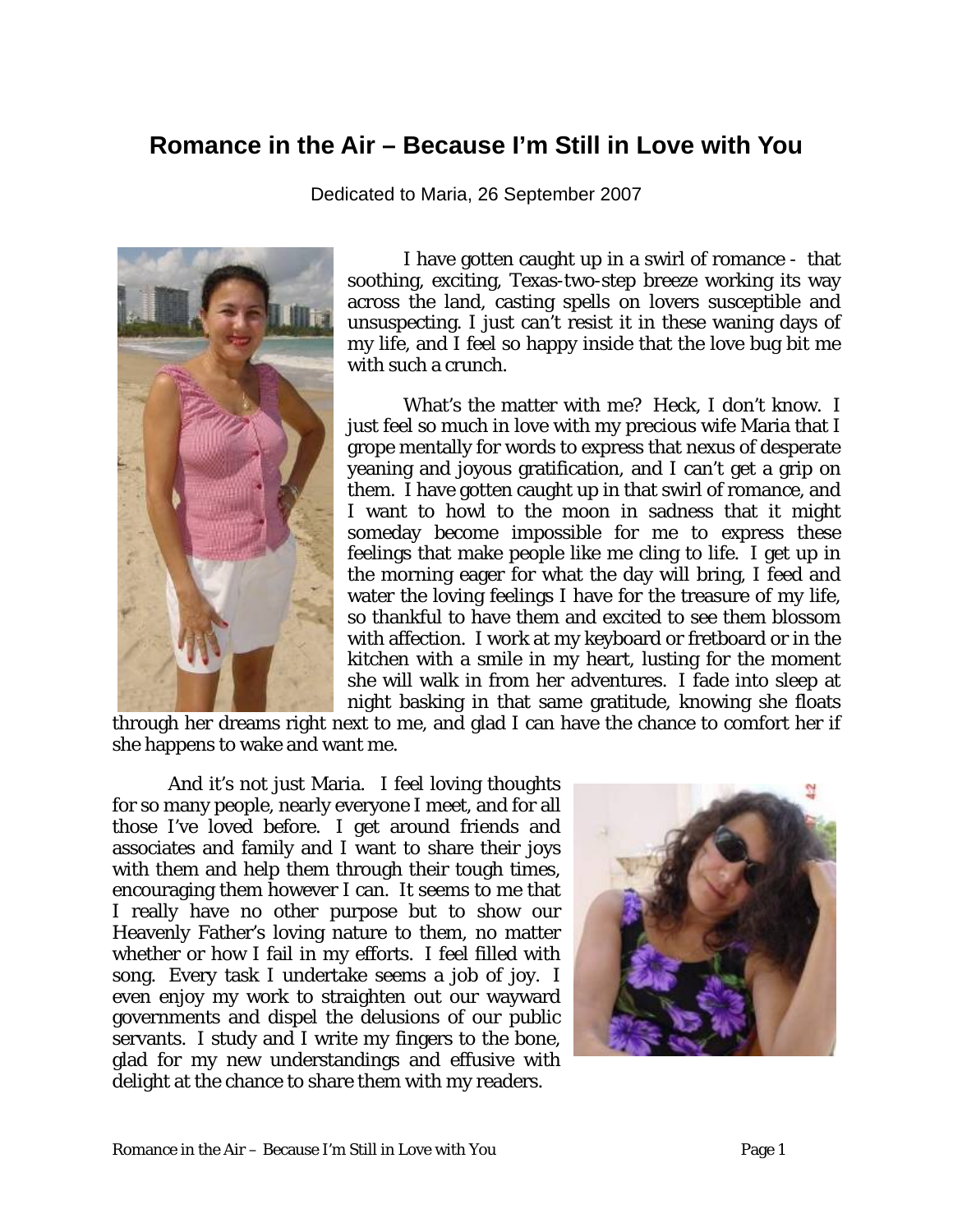## **Romance in the Air – Because I'm Still in Love with You**

Dedicated to Maria, 26 September 2007



I have gotten caught up in a swirl of romance - that soothing, exciting, Texas-two-step breeze working its way across the land, casting spells on lovers susceptible and unsuspecting. I just can't resist it in these waning days of my life, and I feel so happy inside that the love bug bit me with such a crunch.

What's the matter with me? Heck, I don't know. I just feel so much in love with my precious wife Maria that I grope mentally for words to express that nexus of desperate yeaning and joyous gratification, and I can't get a grip on them. I have gotten caught up in that swirl of romance, and I want to howl to the moon in sadness that it might someday become impossible for me to express these feelings that make people like me cling to life. I get up in the morning eager for what the day will bring, I feed and water the loving feelings I have for the treasure of my life, so thankful to have them and excited to see them blossom with affection. I work at my keyboard or fretboard or in the kitchen with a smile in my heart, lusting for the moment she will walk in from her adventures. I fade into sleep at night basking in that same gratitude, knowing she floats

through her dreams right next to me, and glad I can have the chance to comfort her if she happens to wake and want me.

And it's not just Maria. I feel loving thoughts for so many people, nearly everyone I meet, and for all those I've loved before. I get around friends and associates and family and I want to share their joys with them and help them through their tough times, encouraging them however I can. It seems to me that I really have no other purpose but to show our Heavenly Father's loving nature to them, no matter whether or how I fail in my efforts. I feel filled with song. Every task I undertake seems a job of joy. I even enjoy my work to straighten out our wayward governments and dispel the delusions of our public servants. I study and I write my fingers to the bone, glad for my new understandings and effusive with delight at the chance to share them with my readers.

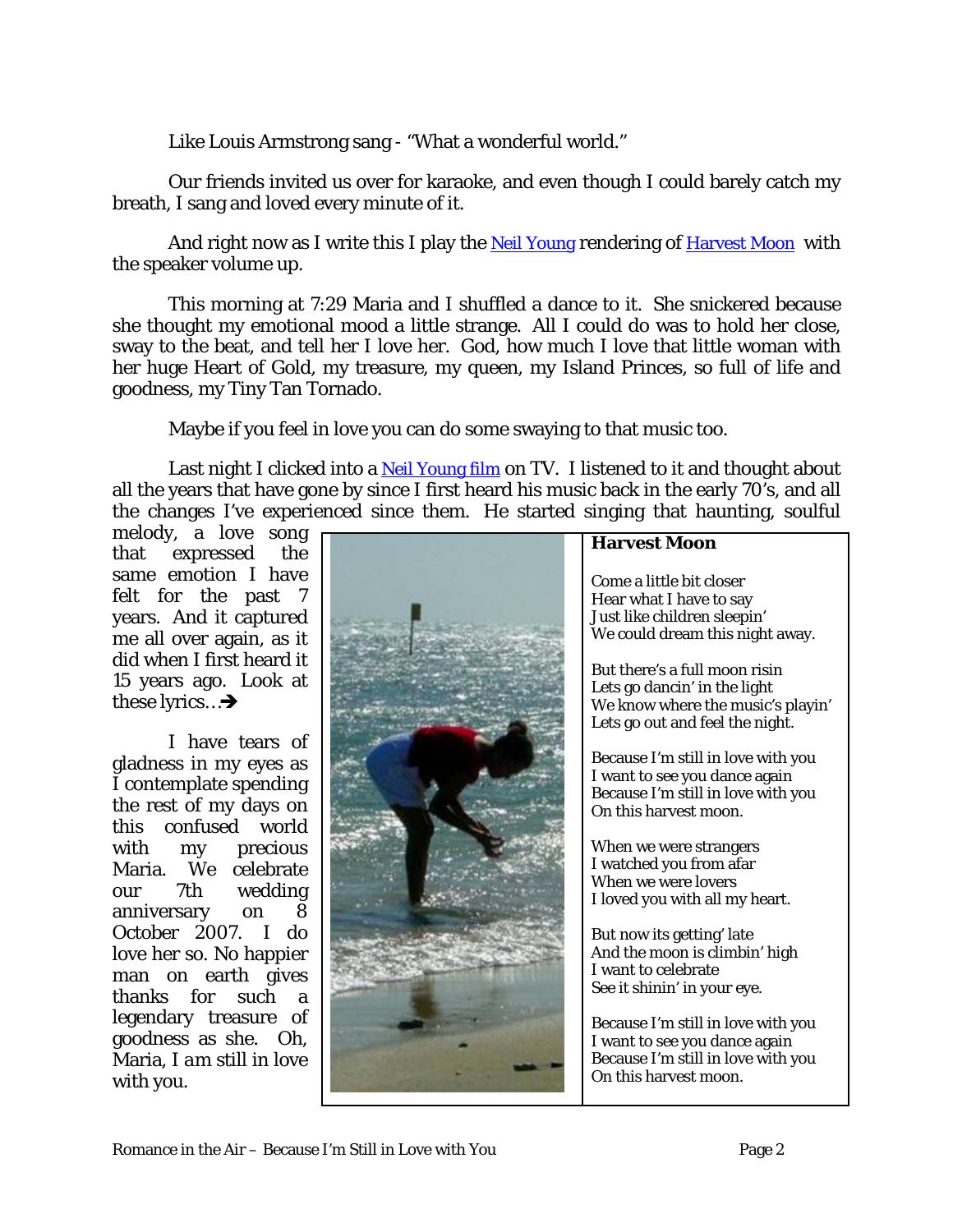Like Louis Armstrong sang - "What a wonderful world."

Our friends invited us over for karaoke, and even though I could barely catch my breath, I sang and loved every minute of it.

And right now as I write this I play the [Neil Young](http://en.wikipedia.org/wiki/Neil_Young) rendering of [Harvest Moon](http://www.youtube.com/watch?v=Bnbb9yoQzqc) with the speaker volume up.

This morning at 7:29 Maria and I shuffled a dance to it. She snickered because she thought my emotional mood a little strange. All I could do was to hold her close, sway to the beat, and tell her I love her. God, how much I love that little woman with her huge Heart of Gold, my treasure, my queen, my Island Princes, so full of life and goodness, my Tiny Tan Tornado.

Maybe if you feel in love you can do some swaying to that music too.

Last night I clicked into a [Neil Young film](http://en.wikipedia.org/wiki/Neil_Young:_Heart_of_Gold) on TV. I listened to it and thought about all the years that have gone by since I first heard his music back in the early 70's, and all the changes I've experienced since them. He started singing that haunting, soulful

melody, a love song that expressed the same emotion I have felt for the past 7 years. And it captured me all over again, as it did when I first heard it 15 years ago. Look at these lyrics... $\rightarrow$ 

I have tears of gladness in my eyes as I contemplate spending the rest of my days on this confused world with my precious Maria. We celebrate our 7th wedding anniversary on 8 October 2007. I do love her so. No happier man on earth gives thanks for such a legendary treasure of goodness as she. Oh, Maria, I *am* still in love with you.